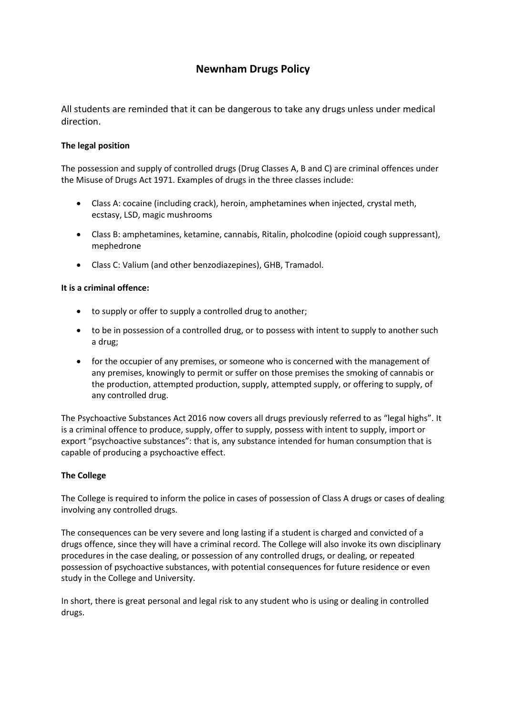# **Newnham Drugs Policy**

All students are reminded that it can be dangerous to take any drugs unless under medical direction.

## **The legal position**

The possession and supply of controlled drugs (Drug Classes A, B and C) are criminal offences under the Misuse of Drugs Act 1971. Examples of drugs in the three classes include:

- Class A: cocaine (including crack), heroin, amphetamines when injected, crystal meth, ecstasy, LSD, magic mushrooms
- Class B: amphetamines, ketamine, cannabis, Ritalin, pholcodine (opioid cough suppressant), mephedrone
- Class C: Valium (and other benzodiazepines), GHB, Tramadol.

### **It is a criminal offence:**

- to supply or offer to supply a controlled drug to another;
- to be in possession of a controlled drug, or to possess with intent to supply to another such a drug;
- for the occupier of any premises, or someone who is concerned with the management of any premises, knowingly to permit or suffer on those premises the smoking of cannabis or the production, attempted production, supply, attempted supply, or offering to supply, of any controlled drug.

The Psychoactive Substances Act 2016 now covers all drugs previously referred to as "legal highs". It is a criminal offence to produce, supply, offer to supply, possess with intent to supply, import or export "psychoactive substances": that is, any substance intended for human consumption that is capable of producing a psychoactive effect.

### **The College**

The College is required to inform the police in cases of possession of Class A drugs or cases of dealing involving any controlled drugs.

The consequences can be very severe and long lasting if a student is charged and convicted of a drugs offence, since they will have a criminal record. The College will also invoke its own disciplinary procedures in the case dealing, or possession of any controlled drugs, or dealing, or repeated possession of psychoactive substances, with potential consequences for future residence or even study in the College and University.

In short, there is great personal and legal risk to any student who is using or dealing in controlled drugs.